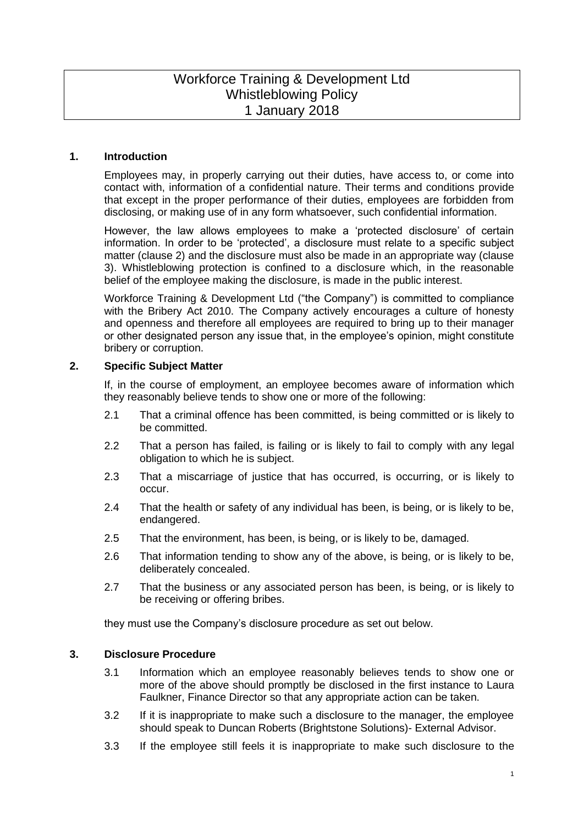# Workforce Training & Development Ltd Whistleblowing Policy 1 January 2018

### **1. Introduction**

Employees may, in properly carrying out their duties, have access to, or come into contact with, information of a confidential nature. Their terms and conditions provide that except in the proper performance of their duties, employees are forbidden from disclosing, or making use of in any form whatsoever, such confidential information.

However, the law allows employees to make a 'protected disclosure' of certain information. In order to be 'protected', a disclosure must relate to a specific subject matter (clause 2) and the disclosure must also be made in an appropriate way (clause 3). Whistleblowing protection is confined to a disclosure which, in the reasonable belief of the employee making the disclosure, is made in the public interest.

Workforce Training & Development Ltd ("the Company") is committed to compliance with the Bribery Act 2010. The Company actively encourages a culture of honesty and openness and therefore all employees are required to bring up to their manager or other designated person any issue that, in the employee's opinion, might constitute bribery or corruption.

### **2. Specific Subject Matter**

If, in the course of employment, an employee becomes aware of information which they reasonably believe tends to show one or more of the following:

- 2.1 That a criminal offence has been committed, is being committed or is likely to be committed.
- 2.2 That a person has failed, is failing or is likely to fail to comply with any legal obligation to which he is subject.
- 2.3 That a miscarriage of justice that has occurred, is occurring, or is likely to occur.
- 2.4 That the health or safety of any individual has been, is being, or is likely to be, endangered.
- 2.5 That the environment, has been, is being, or is likely to be, damaged.
- 2.6 That information tending to show any of the above, is being, or is likely to be, deliberately concealed.
- 2.7 That the business or any associated person has been, is being, or is likely to be receiving or offering bribes.

they must use the Company's disclosure procedure as set out below.

## **3. Disclosure Procedure**

- 3.1 Information which an employee reasonably believes tends to show one or more of the above should promptly be disclosed in the first instance to Laura Faulkner, Finance Director so that any appropriate action can be taken.
- 3.2 If it is inappropriate to make such a disclosure to the manager, the employee should speak to Duncan Roberts (Brightstone Solutions)- External Advisor.
- 3.3 If the employee still feels it is inappropriate to make such disclosure to the